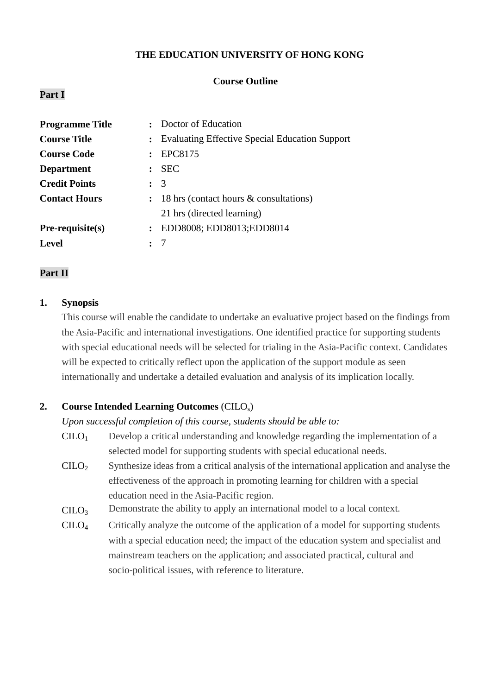# **THE EDUCATION UNIVERSITY OF HONG KONG**

## **Course Outline**

## **Part I**

| <b>Programme Title</b> | : Doctor of Education                              |
|------------------------|----------------------------------------------------|
| <b>Course Title</b>    | : Evaluating Effective Special Education Support   |
| <b>Course Code</b>     | EPC8175                                            |
| <b>Department</b>      | $:$ SEC                                            |
| <b>Credit Points</b>   | $\colon$ 3                                         |
| <b>Contact Hours</b>   | $: 18 \text{ hrs}$ (contact hours & consultations) |
|                        | 21 hrs (directed learning)                         |
| $Pre-requisite(s)$     | EDD8008; EDD8013; EDD8014<br>$\mathbf{r}$          |
| <b>Level</b>           |                                                    |

## **Part II**

## **1. Synopsis**

This course will enable the candidate to undertake an evaluative project based on the findings from the Asia-Pacific and international investigations. One identified practice for supporting students with special educational needs will be selected for trialing in the Asia-Pacific context. Candidates will be expected to critically reflect upon the application of the support module as seen internationally and undertake a detailed evaluation and analysis of its implication locally.

## **2. Course Intended Learning Outcomes** (CILOs)

#### *Upon successful completion of this course, students should be able to:*

- $C I L O<sub>1</sub>$  Develop a critical understanding and knowledge regarding the implementation of a selected model for supporting students with special educational needs.
- $C I L O<sub>2</sub>$  Synthesize ideas from a critical analysis of the international application and analyse the effectiveness of the approach in promoting learning for children with a special education need in the Asia-Pacific region.
- $C I L O<sub>3</sub>$  Demonstrate the ability to apply an international model to a local context.
- CILO<sup>4</sup> Critically analyze the outcome of the application of a model for supporting students with a special education need; the impact of the education system and specialist and mainstream teachers on the application; and associated practical, cultural and socio-political issues, with reference to literature.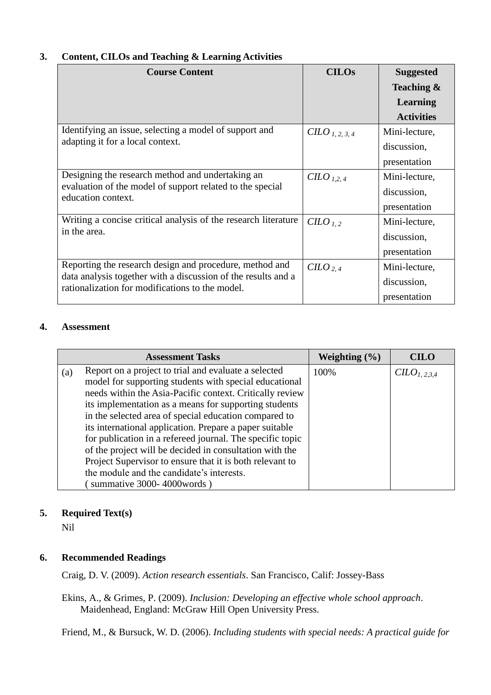# **3. Content, CILOs and Teaching & Learning Activities**

| <b>Course Content</b>                                                                                            | <b>CILOs</b>         | <b>Suggested</b>  |
|------------------------------------------------------------------------------------------------------------------|----------------------|-------------------|
|                                                                                                                  |                      | Teaching &        |
|                                                                                                                  |                      | <b>Learning</b>   |
|                                                                                                                  |                      | <b>Activities</b> |
| Identifying an issue, selecting a model of support and                                                           | $C ILO_{1, 2, 3, 4}$ | Mini-lecture,     |
| adapting it for a local context.                                                                                 |                      | discussion,       |
|                                                                                                                  |                      | presentation      |
| Designing the research method and undertaking an                                                                 | $CHO_{1,2,4}$        | Mini-lecture,     |
| evaluation of the model of support related to the special<br>education context.                                  |                      | discussion,       |
|                                                                                                                  |                      | presentation      |
| Writing a concise critical analysis of the research literature                                                   | C <sub>1,2</sub>     | Mini-lecture,     |
| in the area.                                                                                                     |                      | discussion,       |
|                                                                                                                  |                      | presentation      |
| Reporting the research design and procedure, method and                                                          | $CHLO_{2,4}$         | Mini-lecture,     |
| data analysis together with a discussion of the results and a<br>rationalization for modifications to the model. |                      | discussion,       |
|                                                                                                                  |                      | presentation      |

# **4. Assessment**

|     | <b>Assessment Tasks</b>                                   | Weighting $(\% )$ | <b>CILO</b>     |
|-----|-----------------------------------------------------------|-------------------|-----------------|
| (a) | Report on a project to trial and evaluate a selected      | 100%              | $CLO_{1,2,3,4}$ |
|     | model for supporting students with special educational    |                   |                 |
|     | needs within the Asia-Pacific context. Critically review  |                   |                 |
|     | its implementation as a means for supporting students     |                   |                 |
|     | in the selected area of special education compared to     |                   |                 |
|     | its international application. Prepare a paper suitable   |                   |                 |
|     | for publication in a refereed journal. The specific topic |                   |                 |
|     | of the project will be decided in consultation with the   |                   |                 |
|     | Project Supervisor to ensure that it is both relevant to  |                   |                 |
|     | the module and the candidate's interests.                 |                   |                 |
|     | summative 3000-4000 words)                                |                   |                 |

# **5. Required Text(s)**

Nil

# **6. Recommended Readings**

Craig, D. V. (2009). *Action research essentials*. San Francisco, Calif: Jossey-Bass

Ekins, A., & Grimes, P. (2009). *Inclusion: Developing an effective whole school approach*. Maidenhead, England: McGraw Hill Open University Press.

Friend, M., & Bursuck, W. D. (2006). *Including students with special needs: A practical guide for*